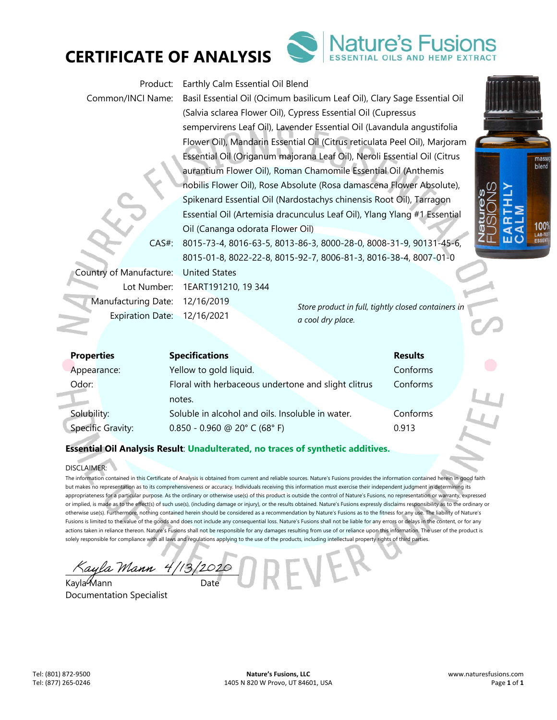



| Product:<br>Common/INCI Name:                                                            | Earthly Calm Essential Oil Blend<br>Basil Essential Oil (Ocimum basilicum Leaf Oil), Clary Sage Essential Oil<br>(Salvia sclarea Flower Oil), Cypress Essential Oil (Cupressus<br>sempervirens Leaf Oil), Lavender Essential Oil (Lavandula angustifolia<br>Flower Oil), Mandarin Essential Oil (Citrus reticulata Peel Oil), Marjoram<br>Essential Oil (Origanum majorana Leaf Oil), Neroli Essential Oil (Citrus                                                      |                                                                          |                            | ma  |
|------------------------------------------------------------------------------------------|-------------------------------------------------------------------------------------------------------------------------------------------------------------------------------------------------------------------------------------------------------------------------------------------------------------------------------------------------------------------------------------------------------------------------------------------------------------------------|--------------------------------------------------------------------------|----------------------------|-----|
| $CAS#$ :                                                                                 | aurantium Flower Oil), Roman Chamomile Essential Oil (Anthemis<br>nobilis Flower Oil), Rose Absolute (Rosa damascena Flower Absolute),<br>Spikenard Essential Oil (Nardostachys chinensis Root Oil), Tarragon<br>Essential Oil (Artemisia dracunculus Leaf Oil), Ylang Ylang #1 Essential<br>Oil (Cananga odorata Flower Oil)<br>8015-73-4, 8016-63-5, 8013-86-3, 8000-28-0, 8008-31-9, 90131-45-6,<br>8015-01-8, 8022-22-8, 8015-92-7, 8006-81-3, 8016-38-4, 8007-01-0 |                                                                          |                            | ble |
| Country of Manufacture:<br>Lot Number:<br>Manufacturing Date:<br><b>Expiration Date:</b> | <b>United States</b><br>1EART191210, 19 344<br>12/16/2019<br>12/16/2021                                                                                                                                                                                                                                                                                                                                                                                                 | Store product in full, tightly closed containers in<br>a cool dry place. |                            |     |
| <b>Properties</b><br>Appearance:                                                         | <b>Specifications</b><br>Yellow to gold liquid.                                                                                                                                                                                                                                                                                                                                                                                                                         |                                                                          | <b>Results</b><br>Conforms |     |

| <b>Properties</b>        | <b>Specifications</b>                               | <b>Results</b> |  |
|--------------------------|-----------------------------------------------------|----------------|--|
| Appearance:              | Yellow to gold liquid.                              | Conforms       |  |
| Odor:                    | Floral with herbaceous undertone and slight clitrus | Conforms       |  |
|                          | notes.                                              |                |  |
| Solubility:              | Soluble in alcohol and oils. Insoluble in water.    | Conforms       |  |
| <b>Specific Gravity:</b> | $0.850 - 0.960$ @ 20° C (68° F)                     | 0.913          |  |
|                          |                                                     |                |  |

### DISCLAIMER:

The information contained in this Certificate of Analysis is obtained from current and reliable sources. Nature's Fusions provides the information contained herein in good faith but makes no representation as to its comprehensiveness or accuracy. Individuals receiving this information must exercise their independent judgment in determining its appropriateness for a particular purpose. As the ordinary or otherwise use(s) of this product is outside the control of Nature's Fusions, no representation or warranty, expressed or implied, is made as to the effect(s) of such use(s), (including damage or injury), or the results obtained. Nature's Fusions expressly disclaims responsibility as to the ordinary or otherwise use(s). Furthermore, nothing contained herein should be considered as a recommendation by Nature's Fusions as to the fitness for any use. The liability of Nature's Fusions is limited to the value of the goods and does not include any consequential loss. Nature's Fusions shall not be liable for any errors or delays in the content, or for any actions taken in reliance thereon. Nature's Fusions shall not be responsible for any damages resulting from use of or reliance upon this information. The user of the product is solely responsible for compliance with all laws and regulations applying to the use of the products, including intellectual property rights of third parties.

Kayla Mann 4/13/2020

Kayla Mann Documentation Specialist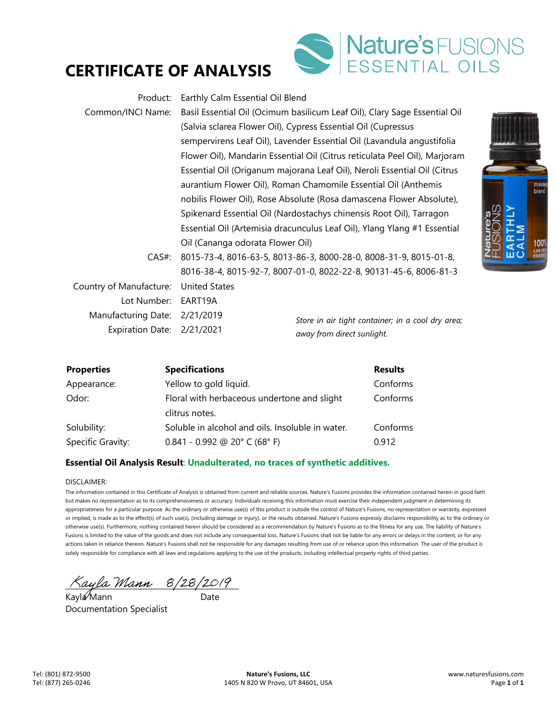



| Product:                   | Earthly Calm Essential Oil Blend                                                           |                                                                            |  |
|----------------------------|--------------------------------------------------------------------------------------------|----------------------------------------------------------------------------|--|
| Common/INCI Name:          |                                                                                            | Basil Essential Oil (Ocimum basilicum Leaf Oil), Clary Sage Essential Oil  |  |
|                            | (Salvia sclarea Flower Oil), Cypress Essential Oil (Cupressus                              |                                                                            |  |
|                            |                                                                                            | sempervirens Leaf Oil), Lavender Essential Oil (Lavandula angustifolia     |  |
|                            |                                                                                            | Flower Oil), Mandarin Essential Oil (Citrus reticulata Peel Oil), Marjoram |  |
|                            |                                                                                            | Essential Oil (Origanum majorana Leaf Oil), Neroli Essential Oil (Citrus   |  |
|                            |                                                                                            | aurantium Flower Oil), Roman Chamomile Essential Oil (Anthemis             |  |
|                            | nobilis Flower Oil), Rose Absolute (Rosa damascena Flower Absolute),                       |                                                                            |  |
|                            | Nature's<br>FHSIONS<br>Spikenard Essential Oil (Nardostachys chinensis Root Oil), Tarragon |                                                                            |  |
|                            |                                                                                            | Essential Oil (Artemisia dracunculus Leaf Oil), Ylang Ylang #1 Essential   |  |
|                            | Oil (Cananga odorata Flower Oil)                                                           |                                                                            |  |
| $CAS#$ :                   | 8015-73-4, 8016-63-5, 8013-86-3, 8000-28-0, 8008-31-9, 8015-01-8,                          |                                                                            |  |
|                            | 8016-38-4, 8015-92-7, 8007-01-0, 8022-22-8, 90131-45-6, 8006-81-3                          |                                                                            |  |
| Country of Manufacture:    | <b>United States</b>                                                                       |                                                                            |  |
| Lot Number:                | EART19A                                                                                    |                                                                            |  |
| Manufacturing Date:        | 2/21/2019                                                                                  | Store in air tight container; in a cool dry area;                          |  |
| Expiration Date: 2/21/2021 |                                                                                            | away from direct sunlight.                                                 |  |
|                            |                                                                                            |                                                                            |  |



#### DISCLAIMER:

The information contained in this Certificate of Analysis is obtained from current and reliable sources. Nature's Fusions provides the information contained herein in good faith but makes no representation as to its comprehensiveness or accuracy. Individuals receiving this information must exercise their independent judgment in determining its appropriateness for a particular purpose. As the ordinary or otherwise use(s) of this product is outside the control of Nature's Fusions, no representation or warranty, expressed or implied, is made as to the effect(s) of such use(s), (including damage or injury), or the results obtained. Nature's Fusions expressly disclaims responsibility as to the ordinary or otherwise use(s). Furthermore, nothing contained herein should be considered as a recommendation by Nature's Fusions as to the fitness for any use. The liability of Nature's Fusions is limited to the value of the goods and does not include any consequential loss. Nature's Fusions shall not be liable for any errors or delays in the content, or for any actions taken in reliance thereon. Nature's Fusions shall not be responsible for any damages resulting from use of or reliance upon this information. The user of the product is solely responsible for compliance with all laws and regulations applying to the use of the products, including intellectual property rights of third parties.

 $\pi$ ayla Mann  $8/28/2019$ 

Kayla⁄Mann Date Documentation Specialist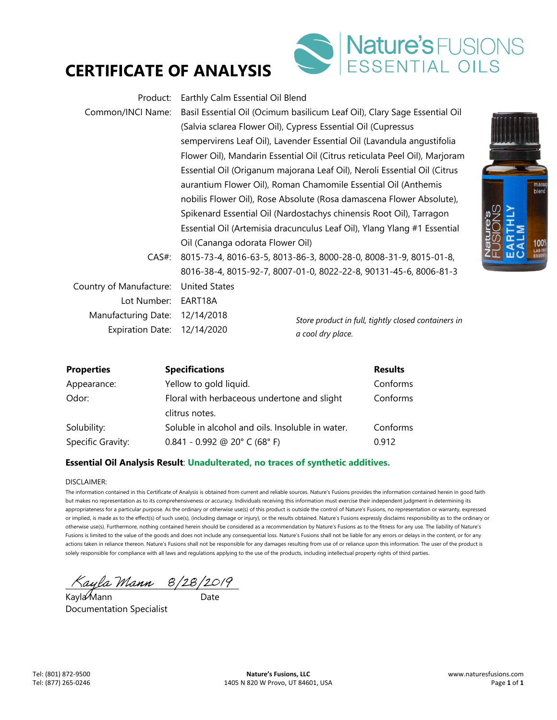



| Product:                | Earthly Calm Essential Oil Blend                                                |                                                                            |  |
|-------------------------|---------------------------------------------------------------------------------|----------------------------------------------------------------------------|--|
| Common/INCI Name:       |                                                                                 | Basil Essential Oil (Ocimum basilicum Leaf Oil), Clary Sage Essential Oil  |  |
|                         |                                                                                 | (Salvia sclarea Flower Oil), Cypress Essential Oil (Cupressus              |  |
|                         |                                                                                 | sempervirens Leaf Oil), Lavender Essential Oil (Lavandula angustifolia     |  |
|                         |                                                                                 | Flower Oil), Mandarin Essential Oil (Citrus reticulata Peel Oil), Marjoram |  |
|                         |                                                                                 | Essential Oil (Origanum majorana Leaf Oil), Neroli Essential Oil (Citrus   |  |
|                         |                                                                                 | aurantium Flower Oil), Roman Chamomile Essential Oil (Anthemis             |  |
|                         | nobilis Flower Oil), Rose Absolute (Rosa damascena Flower Absolute),            |                                                                            |  |
|                         | Nature's<br>Spikenard Essential Oil (Nardostachys chinensis Root Oil), Tarragon |                                                                            |  |
|                         |                                                                                 | Essential Oil (Artemisia dracunculus Leaf Oil), Ylang Ylang #1 Essential   |  |
|                         | Oil (Cananga odorata Flower Oil)                                                |                                                                            |  |
| $CAS#$ :                | 8015-73-4, 8016-63-5, 8013-86-3, 8000-28-0, 8008-31-9, 8015-01-8,               |                                                                            |  |
|                         |                                                                                 | 8016-38-4, 8015-92-7, 8007-01-0, 8022-22-8, 90131-45-6, 8006-81-3          |  |
| Country of Manufacture: | <b>United States</b>                                                            |                                                                            |  |
| Lot Number:             | EART18A                                                                         |                                                                            |  |
| Manufacturing Date:     | 12/14/2018                                                                      | Store product in full, tightly closed containers in                        |  |
| <b>Expiration Date:</b> | 12/14/2020                                                                      | a cool dry place.                                                          |  |
|                         |                                                                                 |                                                                            |  |



| <b>Properties</b> | <b>Specifications</b>                            | <b>Results</b> |
|-------------------|--------------------------------------------------|----------------|
| Appearance:       | Yellow to gold liquid.                           | Conforms       |
| Odor:             | Floral with herbaceous undertone and slight      | Conforms       |
|                   | clitrus notes.                                   |                |
| Solubility:       | Soluble in alcohol and oils. Insoluble in water. | Conforms       |
| Specific Gravity: | $0.841 - 0.992$ @ 20° C (68° F)                  | 0.912          |

#### DISCLAIMER:

The information contained in this Certificate of Analysis is obtained from current and reliable sources. Nature's Fusions provides the information contained herein in good faith but makes no representation as to its comprehensiveness or accuracy. Individuals receiving this information must exercise their independent judgment in determining its appropriateness for a particular purpose. As the ordinary or otherwise use(s) of this product is outside the control of Nature's Fusions, no representation or warranty, expressed or implied, is made as to the effect(s) of such use(s), (including damage or injury), or the results obtained. Nature's Fusions expressly disclaims responsibility as to the ordinary or otherwise use(s). Furthermore, nothing contained herein should be considered as a recommendation by Nature's Fusions as to the fitness for any use. The liability of Nature's Fusions is limited to the value of the goods and does not include any consequential loss. Nature's Fusions shall not be liable for any errors or delays in the content, or for any actions taken in reliance thereon. Nature's Fusions shall not be responsible for any damages resulting from use of or reliance upon this information. The user of the product is solely responsible for compliance with all laws and regulations applying to the use of the products, including intellectual property rights of third parties.

 $\land$ ayla Mann  $8/28/2019$ 

Kayla⁄Mann Date Documentation Specialist